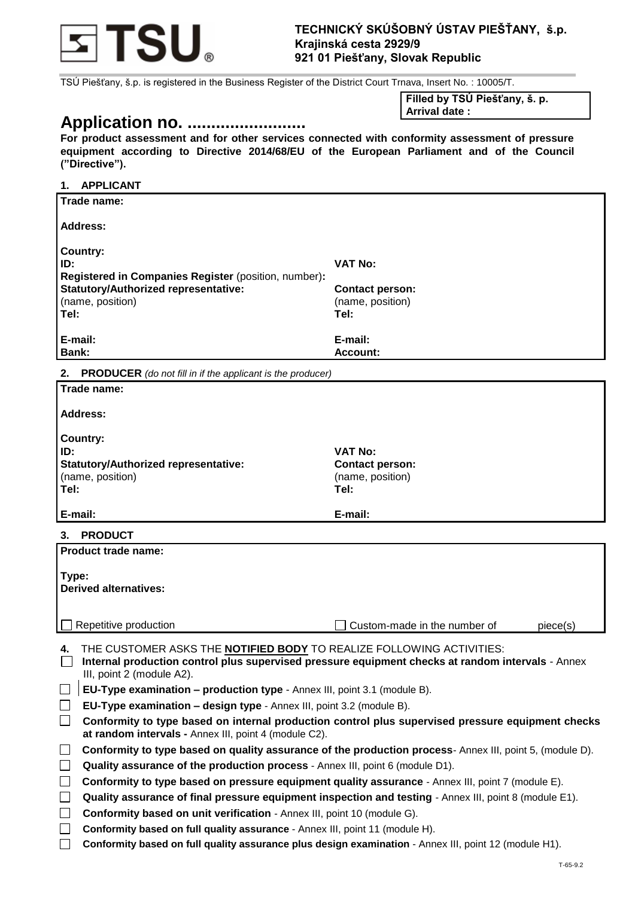

TSÚ Piešťany, š.p. is registered in the Business Register of the District Court Trnava, Insert No. : 10005/T.

# **Application no. .........................**

**Filled by TSÚ Piešťany, š. p.**

**Arrival date :**

**For product assessment and for other services connected with conformity assessment of pressure equipment according to Directive 2014/68/EU of the European Parliament and of the Council ("Directive").** 

## **1. APPLICANT Trade name: Address: Country: ID: VAT No: Registered in Companies Register** (position, number)**: Statutory/Authorized representative:**  (name, position) **Contact person:**  (name, position) **Tel: E-mail: Tel: E-mail: Bank: Bank: Account: Account: Account: Account: Account: Account: Account: Account: Account: Account: Account: Account: Account: Account: Account: Account: Account: Account: Account 2. PRODUCER** *(do not fill in if the applicant is the producer)* **Trade name: Address: Country: ID: VAT No: Statutory/Authorized representative:**  (name, position) **Contact person:**  (name, position) **Tel: Tel: E-mail: E-mail: 3. PRODUCT Product trade name: Type: Derived alternatives:**  $\Box$  Repetitive production  $\Box$  Custom-made in the number of piece(s) **4.** THE CUSTOMER ASKS THE **NOTIFIED BODY** TO REALIZE FOLLOWING ACTIVITIES: **Internal production control plus supervised pressure equipment checks at random intervals** - Annex III, point 2 (module A2).

- **EU-Type examination – production type**  Annex III, point 3.1 (module B).
- **EU-Type examination – design type**  Annex III, point 3.2 (module B).
- **Conformity to type based on internal production control plus supervised pressure equipment checks at random intervals -** Annex III, point 4 (module C2).
- **Conformity to type based on quality assurance of the production process** Annex III, point 5, (module D).
- **Quality assurance of the production process** Annex III, point 6 (module D1).
- **Conformity to type based on pressure equipment quality assurance** Annex III, point 7 (module E).
- **Quality assurance of final pressure equipment inspection and testing** Annex III, point 8 (module E1).
- **Conformity based on unit verification** Annex III, point 10 (module G).
- **Conformity based on full quality assurance** Annex III, point 11 (module H).
- **Conformity based on full quality assurance plus design examination** Annex III, point 12 (module H1).